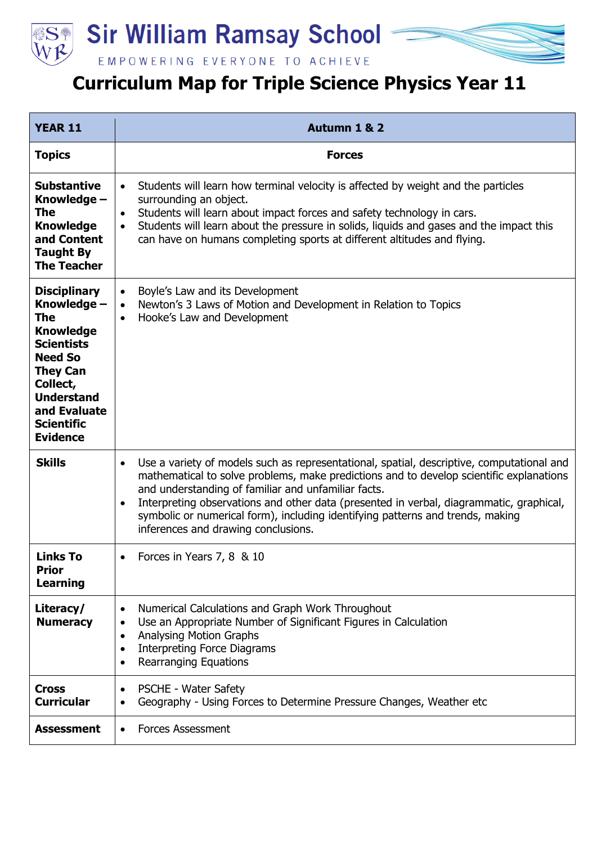



EMPOWERING EVERYONE TO ACHIEVE

## **Curriculum Map for Triple Science Physics Year 11**

| <b>YEAR 11</b>                                                                                                                                                                                                   | Autumn 1 & 2                                                                                                                                                                                                                                                                                                                                                                                                                                                                 |
|------------------------------------------------------------------------------------------------------------------------------------------------------------------------------------------------------------------|------------------------------------------------------------------------------------------------------------------------------------------------------------------------------------------------------------------------------------------------------------------------------------------------------------------------------------------------------------------------------------------------------------------------------------------------------------------------------|
| <b>Topics</b>                                                                                                                                                                                                    | <b>Forces</b>                                                                                                                                                                                                                                                                                                                                                                                                                                                                |
| <b>Substantive</b><br>Knowledge -<br>The<br><b>Knowledge</b><br>and Content<br><b>Taught By</b><br><b>The Teacher</b>                                                                                            | Students will learn how terminal velocity is affected by weight and the particles<br>$\bullet$<br>surrounding an object.<br>Students will learn about impact forces and safety technology in cars.<br>$\bullet$<br>Students will learn about the pressure in solids, liquids and gases and the impact this<br>can have on humans completing sports at different altitudes and flying.                                                                                        |
| <b>Disciplinary</b><br>Knowledge -<br>The<br><b>Knowledge</b><br><b>Scientists</b><br><b>Need So</b><br><b>They Can</b><br>Collect,<br><b>Understand</b><br>and Evaluate<br><b>Scientific</b><br><b>Evidence</b> | Boyle's Law and its Development<br>$\bullet$<br>Newton's 3 Laws of Motion and Development in Relation to Topics<br>$\bullet$<br>Hooke's Law and Development<br>$\bullet$                                                                                                                                                                                                                                                                                                     |
| <b>Skills</b>                                                                                                                                                                                                    | Use a variety of models such as representational, spatial, descriptive, computational and<br>$\bullet$<br>mathematical to solve problems, make predictions and to develop scientific explanations<br>and understanding of familiar and unfamiliar facts.<br>Interpreting observations and other data (presented in verbal, diagrammatic, graphical,<br>symbolic or numerical form), including identifying patterns and trends, making<br>inferences and drawing conclusions. |
| <b>Links To</b><br><b>Prior</b><br>Learning                                                                                                                                                                      | Forces in Years 7, 8 & 10<br>$\bullet$                                                                                                                                                                                                                                                                                                                                                                                                                                       |
| Literacy/<br><b>Numeracy</b>                                                                                                                                                                                     | Numerical Calculations and Graph Work Throughout<br>$\bullet$<br>Use an Appropriate Number of Significant Figures in Calculation<br>$\bullet$<br><b>Analysing Motion Graphs</b><br>$\bullet$<br><b>Interpreting Force Diagrams</b><br>$\bullet$<br><b>Rearranging Equations</b>                                                                                                                                                                                              |
| <b>Cross</b><br><b>Curricular</b>                                                                                                                                                                                | <b>PSCHE - Water Safety</b><br>$\bullet$<br>Geography - Using Forces to Determine Pressure Changes, Weather etc                                                                                                                                                                                                                                                                                                                                                              |
| <b>Assessment</b>                                                                                                                                                                                                | <b>Forces Assessment</b><br>$\bullet$                                                                                                                                                                                                                                                                                                                                                                                                                                        |